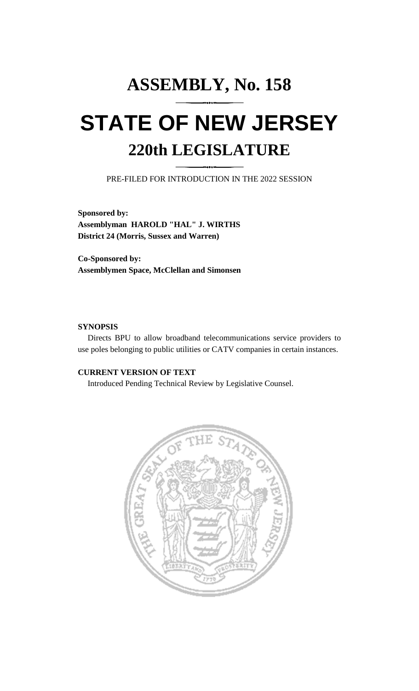# **ASSEMBLY, No. 158 STATE OF NEW JERSEY 220th LEGISLATURE**

PRE-FILED FOR INTRODUCTION IN THE 2022 SESSION

**Sponsored by: Assemblyman HAROLD "HAL" J. WIRTHS District 24 (Morris, Sussex and Warren)**

**Co-Sponsored by: Assemblymen Space, McClellan and Simonsen**

### **SYNOPSIS**

Directs BPU to allow broadband telecommunications service providers to use poles belonging to public utilities or CATV companies in certain instances.

## **CURRENT VERSION OF TEXT**

Introduced Pending Technical Review by Legislative Counsel.

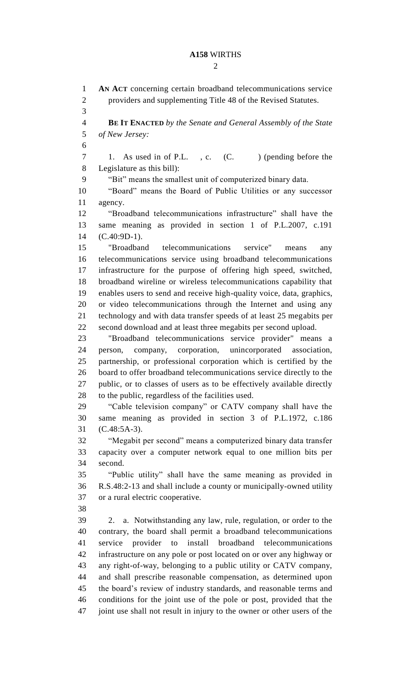## **A158** WIRTHS

 $\mathcal{D}_{\mathcal{L}}$ 

 **AN ACT** concerning certain broadband telecommunications service providers and supplementing Title 48 of the Revised Statutes. **BE IT ENACTED** *by the Senate and General Assembly of the State of New Jersey:* 7 1. As used in of P.L., c. (C. ) (pending before the Legislature as this bill): "Bit" means the smallest unit of computerized binary data. "Board" means the Board of Public Utilities or any successor agency. "Broadband telecommunications infrastructure" shall have the same meaning as provided in section 1 of P.L.2007, c.191 (C.40:9D-1). "Broadband telecommunications service" means any telecommunications service using broadband telecommunications infrastructure for the purpose of offering high speed, switched, broadband wireline or wireless telecommunications capability that enables users to send and receive high-quality voice, data, graphics, or video telecommunications through the Internet and using any technology and with data transfer speeds of at least 25 megabits per second download and at least three megabits per second upload. "Broadband telecommunications service provider" means a person, company, corporation, unincorporated association, partnership, or professional corporation which is certified by the board to offer broadband telecommunications service directly to the public, or to classes of users as to be effectively available directly to the public, regardless of the facilities used. "Cable television company" or CATV company shall have the same meaning as provided in section 3 of P.L.1972, c.186 (C.48:5A-3). "Megabit per second" means a computerized binary data transfer capacity over a computer network equal to one million bits per second. "Public utility" shall have the same meaning as provided in R.S.48:2-13 and shall include a county or municipally-owned utility or a rural electric cooperative. 2. a. Notwithstanding any law, rule, regulation, or order to the contrary, the board shall permit a broadband telecommunications service provider to install broadband telecommunications infrastructure on any pole or post located on or over any highway or any right-of-way, belonging to a public utility or CATV company, and shall prescribe reasonable compensation, as determined upon the board's review of industry standards, and reasonable terms and conditions for the joint use of the pole or post, provided that the joint use shall not result in injury to the owner or other users of the